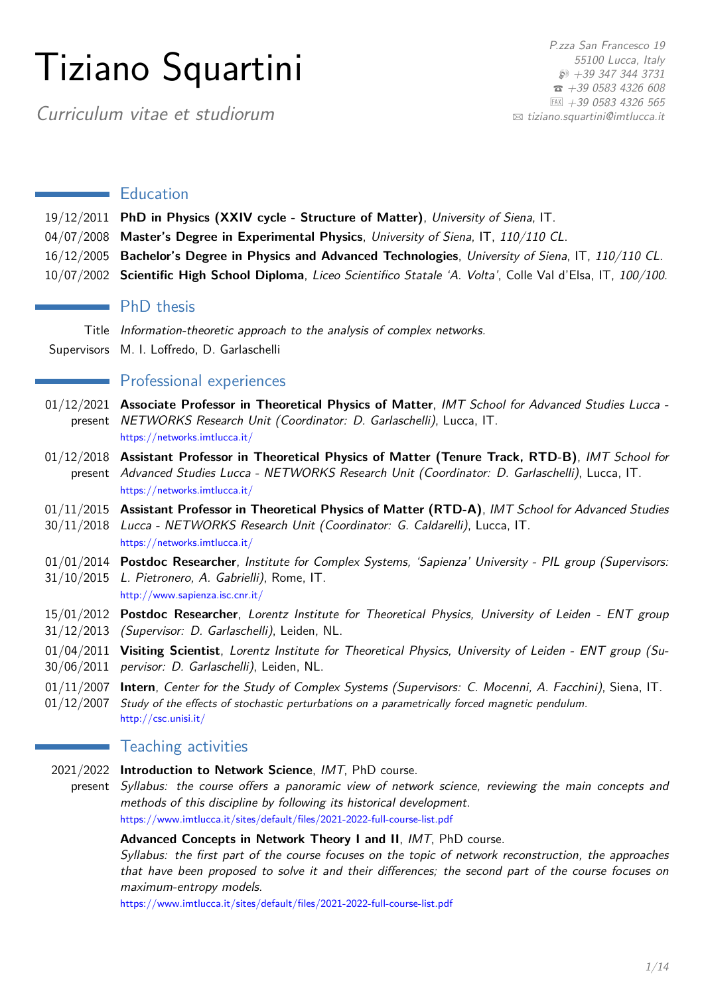# Tiziano Squartini

P.zza San Francesco 19 55100 Lucca, Italy  $$+39$  347 344 3731  $\overline{3}$  [+39 0583 4326 608](tel:+3905834326608)  $|FAX|$  +39 0583 4326 565  $\boxtimes$  [tiziano.squartini@imtlucca.it](mailto:tiziano.squartini@imtlucca.it)

Curriculum vitae et studiorum

# $\blacksquare$  Education

- 19/12/2011 **PhD in Physics (XXIV cycle Structure of Matter)**, University of Siena, IT.
- 04/07/2008 **Master's Degree in Experimental Physics**, University of Siena, IT, 110/110 CL.
- 16/12/2005 **Bachelor's Degree in Physics and Advanced Technologies**, University of Siena, IT, 110/110 CL.
- 10/07/2002 **Scientific High School Diploma**, Liceo Scientifico Statale 'A. Volta', Colle Val d'Elsa, IT, 100/100.

# **PhD** thesis

Title Information-theoretic approach to the analysis of complex networks. Supervisors M. I. Loffredo, D. Garlaschelli

## **Professional experiences**

- 01/12/2021 **Associate Professor in Theoretical Physics of Matter**, IMT School for Advanced Studies Lucca present NETWORKS Research Unit (Coordinator: D. Garlaschelli), Lucca, IT. https://networks.imtlucca.it/
- 01/12/2018 **Assistant Professor in Theoretical Physics of Matter (Tenure Track, RTD-B)**, IMT School for present Advanced Studies Lucca - NETWORKS Research Unit (Coordinator: D. Garlaschelli), Lucca, IT. https://networks.imtlucca.it/
- 01/11/2015 **Assistant Professor in Theoretical Physics of Matter (RTD-A)**, IMT School for Advanced Studies 30/11/2018 Lucca - NETWORKS Research Unit (Coordinator: G. Caldarelli), Lucca, IT. https://networks.imtlucca.it/
- 01/01/2014 **Postdoc Researcher**, Institute for Complex Systems, 'Sapienza' University PIL group (Supervisors:
- 31/10/2015 L. Pietronero, A. Gabrielli), Rome, IT. http://www.sapienza.isc.cnr.it/
- 15/01/2012 **Postdoc Researcher**, Lorentz Institute for Theoretical Physics, University of Leiden ENT group
- 31/12/2013 (Supervisor: D. Garlaschelli), Leiden, NL.
- 01/04/2011 **Visiting Scientist**, Lorentz Institute for Theoretical Physics, University of Leiden ENT group (Su-30/06/2011 pervisor: D. Garlaschelli), Leiden, NL.
- 01/11/2007 **Intern**, Center for the Study of Complex Systems (Supervisors: C. Mocenni, A. Facchini), Siena, IT. 01/12/2007 Study of the effects of stochastic perturbations on a parametrically forced magnetic pendulum. http://csc.unisi.it/

## **Teaching activities**

- 2021/2022 **Introduction to Network Science**, IMT, PhD course.
	- present Syllabus: the course offers a panoramic view of network science, reviewing the main concepts and methods of this discipline by following its historical development. https://www.imtlucca.it/sites/default/files/2021-2022-full-course-list.pdf

#### **Advanced Concepts in Network Theory I and II**, IMT, PhD course.

Syllabus: the first part of the course focuses on the topic of network reconstruction, the approaches that have been proposed to solve it and their differences; the second part of the course focuses on maximum-entropy models.

https://www.imtlucca.it/sites/default/files/2021-2022-full-course-list.pdf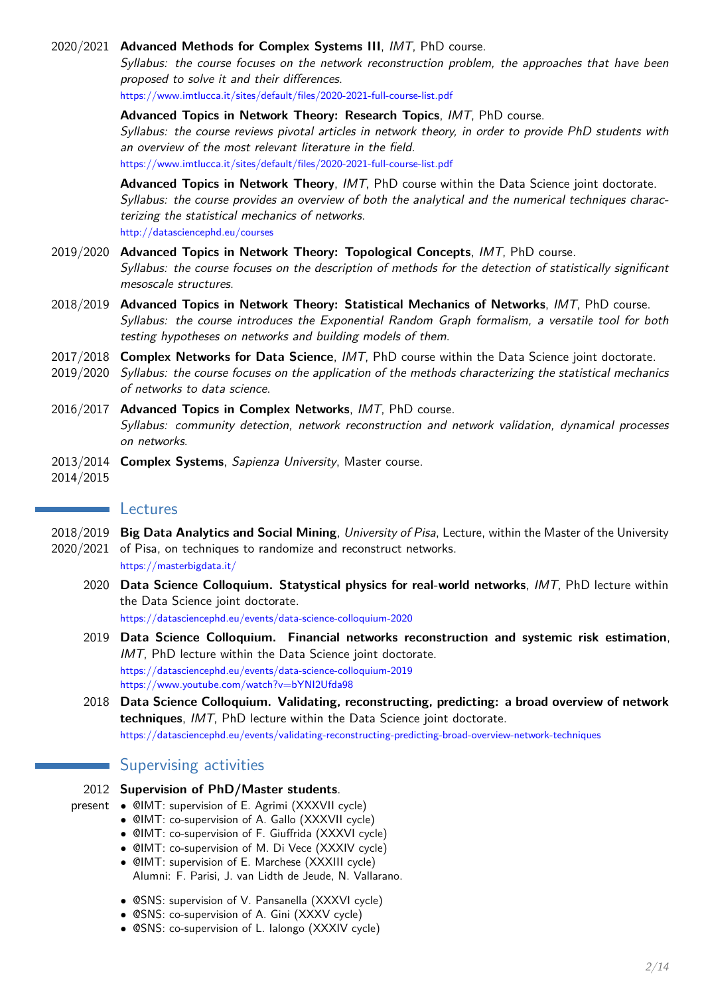#### 2020/2021 **Advanced Methods for Complex Systems III**, IMT, PhD course.

Syllabus: the course focuses on the network reconstruction problem, the approaches that have been proposed to solve it and their differences.

https://www.imtlucca.it/sites/default/files/2020-2021-full-course-list.pdf

**Advanced Topics in Network Theory: Research Topics**, IMT, PhD course.

Syllabus: the course reviews pivotal articles in network theory, in order to provide PhD students with an overview of the most relevant literature in the field.

https://www.imtlucca.it/sites/default/files/2020-2021-full-course-list.pdf

**Advanced Topics in Network Theory**, IMT, PhD course within the Data Science joint doctorate. Syllabus: the course provides an overview of both the analytical and the numerical techniques characterizing the statistical mechanics of networks. http://datasciencephd.eu/courses

- 2019/2020 **Advanced Topics in Network Theory: Topological Concepts**, IMT, PhD course. Syllabus: the course focuses on the description of methods for the detection of statistically significant mesoscale structures.
- 2018/2019 **Advanced Topics in Network Theory: Statistical Mechanics of Networks**, IMT, PhD course. Syllabus: the course introduces the Exponential Random Graph formalism, a versatile tool for both testing hypotheses on networks and building models of them.
- 2017/2018 **Complex Networks for Data Science**, IMT, PhD course within the Data Science joint doctorate.
- 2019/2020 Syllabus: the course focuses on the application of the methods characterizing the statistical mechanics of networks to data science.
- 2016/2017 **Advanced Topics in Complex Networks**, IMT, PhD course. Syllabus: community detection, network reconstruction and network validation, dynamical processes on networks.
- 2013/2014 **Complex Systems**, Sapienza University, Master course.
- 2014/2015

#### **Lectures**

- 2018/2019 **Big Data Analytics and Social Mining**, University of Pisa, Lecture, within the Master of the University 2020/2021 of Pisa, on techniques to randomize and reconstruct networks.
	- https://masterbigdata.it/
	- 2020 **Data Science Colloquium. Statystical physics for real-world networks**, IMT, PhD lecture within the Data Science joint doctorate.

https://datasciencephd.eu/events/data-science-colloquium-2020

- 2019 **Data Science Colloquium. Financial networks reconstruction and systemic risk estimation**, IMT, PhD lecture within the Data Science joint doctorate. https://datasciencephd.eu/events/data-science-colloquium-2019 https://www.youtube.com/watch?v=bYNI2Ufda98
- 2018 **Data Science Colloquium. Validating, reconstructing, predicting: a broad overview of network techniques**, IMT, PhD lecture within the Data Science joint doctorate. https://datasciencephd.eu/events/validating-reconstructing-predicting-broad-overview-network-techniques

# Supervising activities

- 2012 **Supervision of PhD/Master students**.
- 
- present CIMT: supervision of E. Agrimi (XXXVII cycle)
	- @IMT: co-supervision of A. Gallo (XXXVII cycle)
	- @IMT: co-supervision of F. Giuffrida (XXXVI cycle)
	- @IMT: co-supervision of M. Di Vece (XXXIV cycle)
	- @IMT: supervision of E. Marchese (XXXIII cycle) Alumni: F. Parisi, J. van Lidth de Jeude, N. Vallarano.
	- @SNS: supervision of V. Pansanella (XXXVI cycle)
	- @SNS: co-supervision of A. Gini (XXXV cycle)
	- @SNS: co-supervision of L. Ialongo (XXXIV cycle)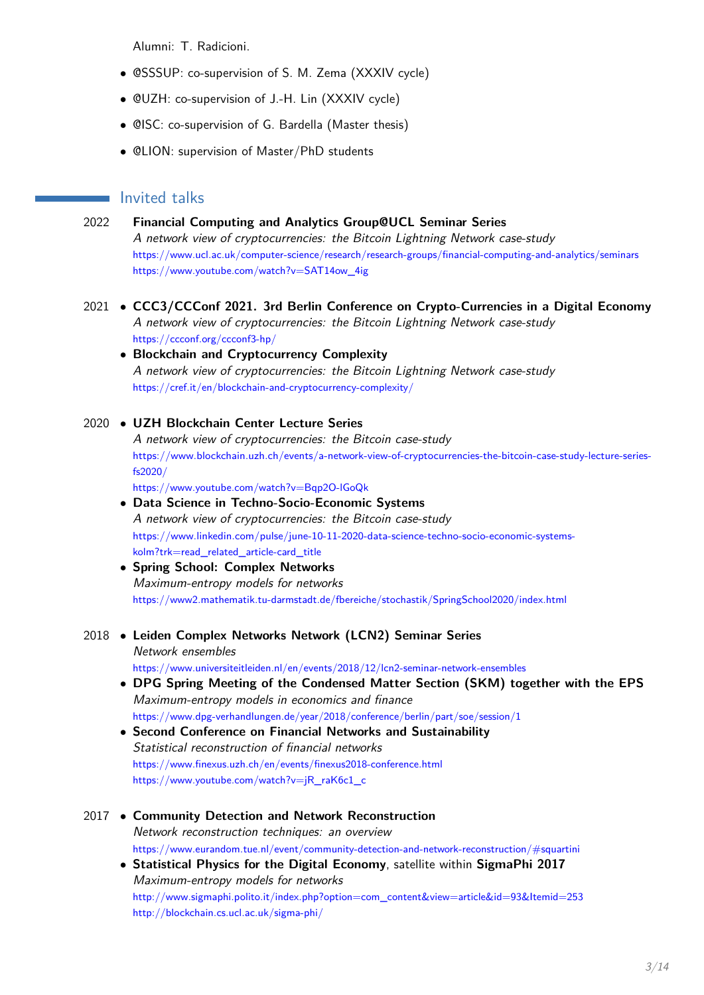Alumni: T. Radicioni.

- @SSSUP: co-supervision of S. M. Zema (XXXIV cycle)
- @UZH: co-supervision of J.-H. Lin (XXXIV cycle)
- @ISC: co-supervision of G. Bardella (Master thesis)
- @LION: supervision of Master/PhD students

# **Invited talks**

- 2022 **Financial Computing and Analytics Group@UCL Seminar Series** A network view of cryptocurrencies: the Bitcoin Lightning Network case-study https://www.ucl.ac.uk/computer-science/research/research-groups/financial-computing-and-analytics/seminars https://www.youtube.com/watch?v=SAT14ow\_4ig
- 2021 **CCC3/CCConf 2021. 3rd Berlin Conference on Crypto-Currencies in a Digital Economy** A network view of cryptocurrencies: the Bitcoin Lightning Network case-study https://ccconf.org/ccconf3-hp/
	- **Blockchain and Cryptocurrency Complexity** A network view of cryptocurrencies: the Bitcoin Lightning Network case-study https://cref.it/en/blockchain-and-cryptocurrency-complexity/
- 2020 **UZH Blockchain Center Lecture Series** A network view of cryptocurrencies: the Bitcoin case-study https://www.blockchain.uzh.ch/events/a-network-view-of-cryptocurrencies-the-bitcoin-case-study-lecture-seriesfs2020/ https://www.youtube.com/watch?v=Bqp2O-lGoQk • **Data Science in Techno-Socio-Economic Systems** A network view of cryptocurrencies: the Bitcoin case-study https://www.linkedin.com/pulse/june-10-11-2020-data-science-techno-socio-economic-systems
	- kolm?trk=read\_related\_article-card\_title • **Spring School: Complex Networks** Maximum-entropy models for networks https://www2.mathematik.tu-darmstadt.de/fbereiche/stochastik/SpringSchool2020/index.html
- 2018 **Leiden Complex Networks Network (LCN2) Seminar Series** Network ensembles
	- https://www.universiteitleiden.nl/en/events/2018/12/lcn2-seminar-network-ensembles
	- **DPG Spring Meeting of the Condensed Matter Section (SKM) together with the EPS** Maximum-entropy models in economics and finance https://www.dpg-verhandlungen.de/year/2018/conference/berlin/part/soe/session/1
	- **Second Conference on Financial Networks and Sustainability** Statistical reconstruction of financial networks https://www.finexus.uzh.ch/en/events/finexus2018-conference.html https://www.youtube.com/watch?v=jR\_raK6c1\_c
- 2017 **Community Detection and Network Reconstruction** Network reconstruction techniques: an overview https://www.eurandom.tue.nl/event/community-detection-and-network-reconstruction/#squartini
	- **Statistical Physics for the Digital Economy**, satellite within **SigmaPhi 2017** Maximum-entropy models for networks http://www.sigmaphi.polito.it/index.php?option=com\_content&view=article&id=93&Itemid=253 http://blockchain.cs.ucl.ac.uk/sigma-phi/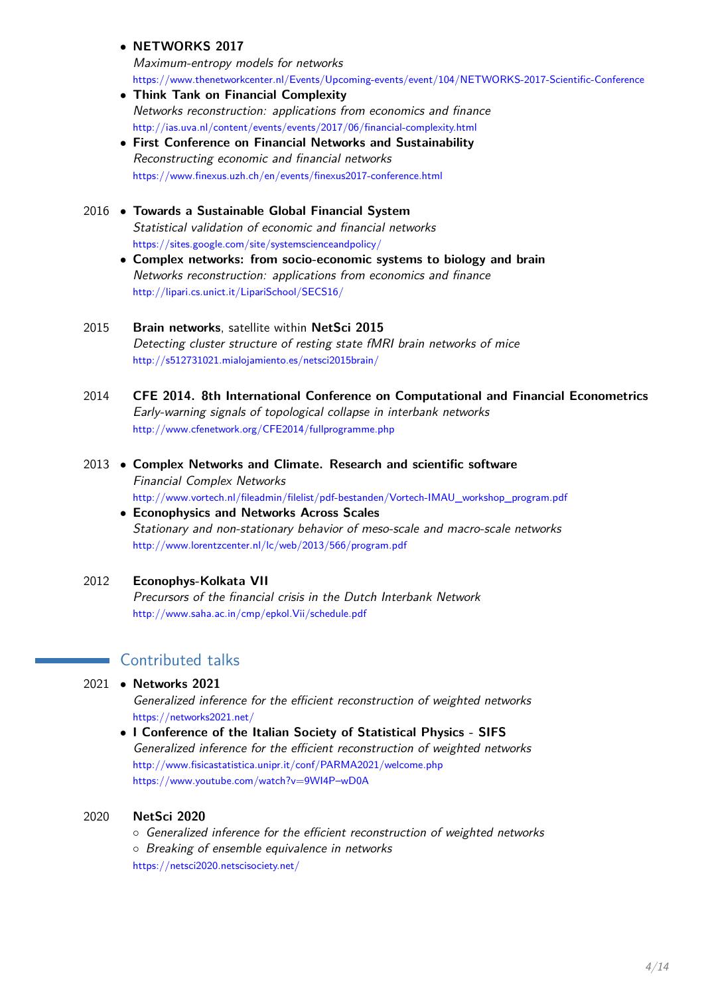• **NETWORKS 2017**

Maximum-entropy models for networks https://www.thenetworkcenter.nl/Events/Upcoming-events/event/104/NETWORKS-2017-Scientific-Conference

- **Think Tank on Financial Complexity** Networks reconstruction: applications from economics and finance http://ias.uva.nl/content/events/events/2017/06/financial-complexity.html
- **First Conference on Financial Networks and Sustainability** Reconstructing economic and financial networks https://www.finexus.uzh.ch/en/events/finexus2017-conference.html

# 2016 • **Towards a Sustainable Global Financial System** Statistical validation of economic and financial networks https://sites.google.com/site/systemscienceandpolicy/

• **Complex networks: from socio-economic systems to biology and brain** Networks reconstruction: applications from economics and finance http://lipari.cs.unict.it/LipariSchool/SECS16/

## 2015 **Brain networks**, satellite within **NetSci 2015** Detecting cluster structure of resting state fMRI brain networks of mice http://s512731021.mialojamiento.es/netsci2015brain/

- 2014 **CFE 2014. 8th International Conference on Computational and Financial Econometrics** Early-warning signals of topological collapse in interbank networks http://www.cfenetwork.org/CFE2014/fullprogramme.php
- 2013 **Complex Networks and Climate. Research and scientific software** Financial Complex Networks http://www.vortech.nl/fileadmin/filelist/pdf-bestanden/Vortech-IMAU\_workshop\_program.pdf
	- **Econophysics and Networks Across Scales** Stationary and non-stationary behavior of meso-scale and macro-scale networks http://www.lorentzcenter.nl/lc/web/2013/566/program.pdf

# 2012 **Econophys-Kolkata VII**

Precursors of the financial crisis in the Dutch Interbank Network http://www.saha.ac.in/cmp/epkol.Vii/schedule.pdf

# **Contributed talks**

2021 • **Networks 2021**

Generalized inference for the efficient reconstruction of weighted networks https://networks2021.net/

• **I Conference of the Italian Society of Statistical Physics - SIFS** Generalized inference for the efficient reconstruction of weighted networks http://www.fisicastatistica.unipr.it/conf/PARMA2021/welcome.php https://www.youtube.com/watch?v=9WI4P–wD0A

## 2020 **NetSci 2020**

◦ Generalized inference for the efficient reconstruction of weighted networks ◦ Breaking of ensemble equivalence in networks https://netsci2020.netscisociety.net/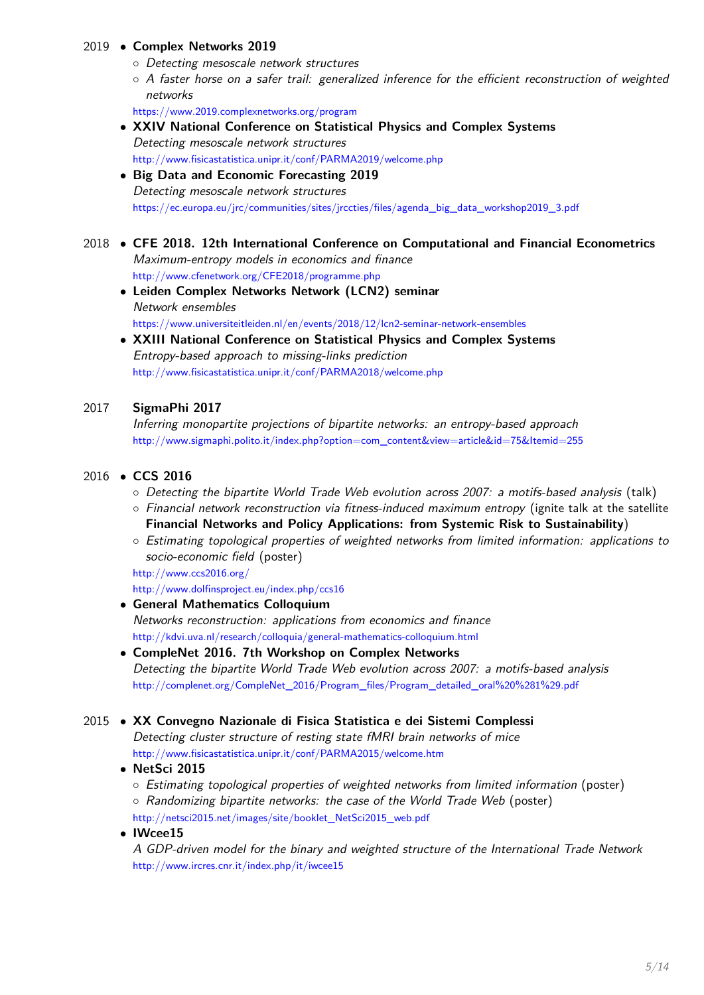## 2019 • **Complex Networks 2019**

- Detecting mesoscale network structures
- A faster horse on a safer trail: generalized inference for the efficient reconstruction of weighted networks

https://www.2019.complexnetworks.org/program

• **XXIV National Conference on Statistical Physics and Complex Systems** Detecting mesoscale network structures http://www.fisicastatistica.unipr.it/conf/PARMA2019/welcome.php

## • **Big Data and Economic Forecasting 2019** Detecting mesoscale network structures https://ec.europa.eu/jrc/communities/sites/jrccties/files/agenda\_big\_data\_workshop2019\_3.pdf

## 2018 • **CFE 2018. 12th International Conference on Computational and Financial Econometrics** Maximum-entropy models in economics and finance http://www.cfenetwork.org/CFE2018/programme.php

- **Leiden Complex Networks Network (LCN2) seminar** Network ensembles https://www.universiteitleiden.nl/en/events/2018/12/lcn2-seminar-network-ensembles
- **XXIII National Conference on Statistical Physics and Complex Systems** Entropy-based approach to missing-links prediction http://www.fisicastatistica.unipr.it/conf/PARMA2018/welcome.php

## 2017 **SigmaPhi 2017**

Inferring monopartite projections of bipartite networks: an entropy-based approach http://www.sigmaphi.polito.it/index.php?option=com\_content&view=article&id=75&Itemid=255

#### 2016 • **CCS 2016**

- Detecting the bipartite World Trade Web evolution across 2007: a motifs-based analysis (talk)
- Financial network reconstruction via fitness-induced maximum entropy (ignite talk at the satellite **Financial Networks and Policy Applications: from Systemic Risk to Sustainability**)
- Estimating topological properties of weighted networks from limited information: applications to socio-economic field (poster)

http://www.ccs2016.org/

http://www.dolfinsproject.eu/index.php/ccs16

- **General Mathematics Colloquium** Networks reconstruction: applications from economics and finance http://kdvi.uva.nl/research/colloquia/general-mathematics-colloquium.html
- **CompleNet 2016. 7th Workshop on Complex Networks** Detecting the bipartite World Trade Web evolution across 2007: a motifs-based analysis http://complenet.org/CompleNet\_2016/Program\_files/Program\_detailed\_oral%20%281%29.pdf

## 2015 • **XX Convegno Nazionale di Fisica Statistica e dei Sistemi Complessi**

Detecting cluster structure of resting state fMRI brain networks of mice http://www.fisicastatistica.unipr.it/conf/PARMA2015/welcome.htm

#### • **NetSci 2015**

- Estimating topological properties of weighted networks from limited information (poster)
- Randomizing bipartite networks: the case of the World Trade Web (poster) http://netsci2015.net/images/site/booklet\_NetSci2015\_web.pdf

#### • **IWcee15**

A GDP-driven model for the binary and weighted structure of the International Trade Network http://www.ircres.cnr.it/index.php/it/iwcee15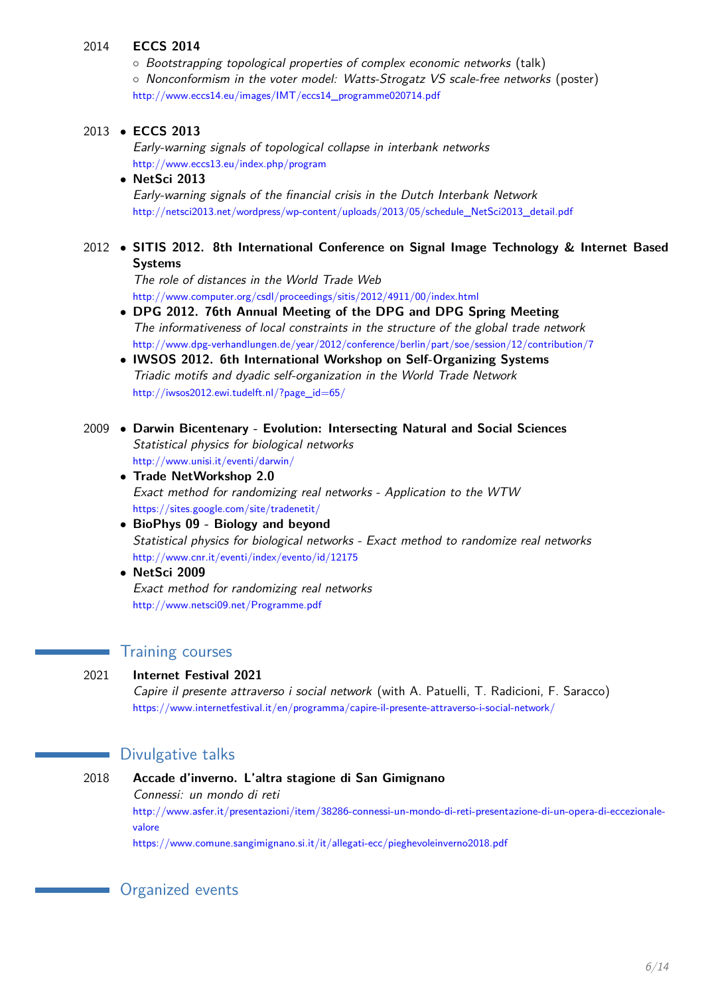#### 2014 **ECCS 2014**

◦ Bootstrapping topological properties of complex economic networks (talk) ◦ Nonconformism in the voter model: Watts-Strogatz VS scale-free networks (poster) http://www.eccs14.eu/images/IMT/eccs14\_programme020714.pdf

## 2013 • **ECCS 2013**

Early-warning signals of topological collapse in interbank networks http://www.eccs13.eu/index.php/program

#### • **NetSci 2013** Early-warning signals of the financial crisis in the Dutch Interbank Network http://netsci2013.net/wordpress/wp-content/uploads/2013/05/schedule\_NetSci2013\_detail.pdf

## 2012 • **SITIS 2012. 8th International Conference on Signal Image Technology & Internet Based Systems**

The role of distances in the World Trade Web http://www.computer.org/csdl/proceedings/sitis/2012/4911/00/index.html

- **DPG 2012. 76th Annual Meeting of the DPG and DPG Spring Meeting** The informativeness of local constraints in the structure of the global trade network http://www.dpg-verhandlungen.de/year/2012/conference/berlin/part/soe/session/12/contribution/7
- **IWSOS 2012. 6th International Workshop on Self-Organizing Systems** Triadic motifs and dyadic self-organization in the World Trade Network http://iwsos2012.ewi.tudelft.nl/?page\_id=65/
- 2009 **Darwin Bicentenary Evolution: Intersecting Natural and Social Sciences** Statistical physics for biological networks http://www.unisi.it/eventi/darwin/
	- **Trade NetWorkshop 2.0** Exact method for randomizing real networks - Application to the WTW https://sites.google.com/site/tradenetit/
	- **BioPhys 09 Biology and beyond** Statistical physics for biological networks - Exact method to randomize real networks http://www.cnr.it/eventi/index/evento/id/12175
	- **NetSci 2009** Exact method for randomizing real networks http://www.netsci09.net/Programme.pdf

# **Training courses**

## 2021 **Internet Festival 2021**

Capire il presente attraverso i social network (with A. Patuelli, T. Radicioni, F. Saracco) https://www.internetfestival.it/en/programma/capire-il-presente-attraverso-i-social-network/

# **Divulgative talks**

## 2018 **Accade d'inverno. L'altra stagione di San Gimignano**

Connessi: un mondo di reti

http://www.asfer.it/presentazioni/item/38286-connessi-un-mondo-di-reti-presentazione-di-un-opera-di-eccezionalevalore

https://www.comune.sangimignano.si.it/it/allegati-ecc/pieghevoleinverno2018.pdf

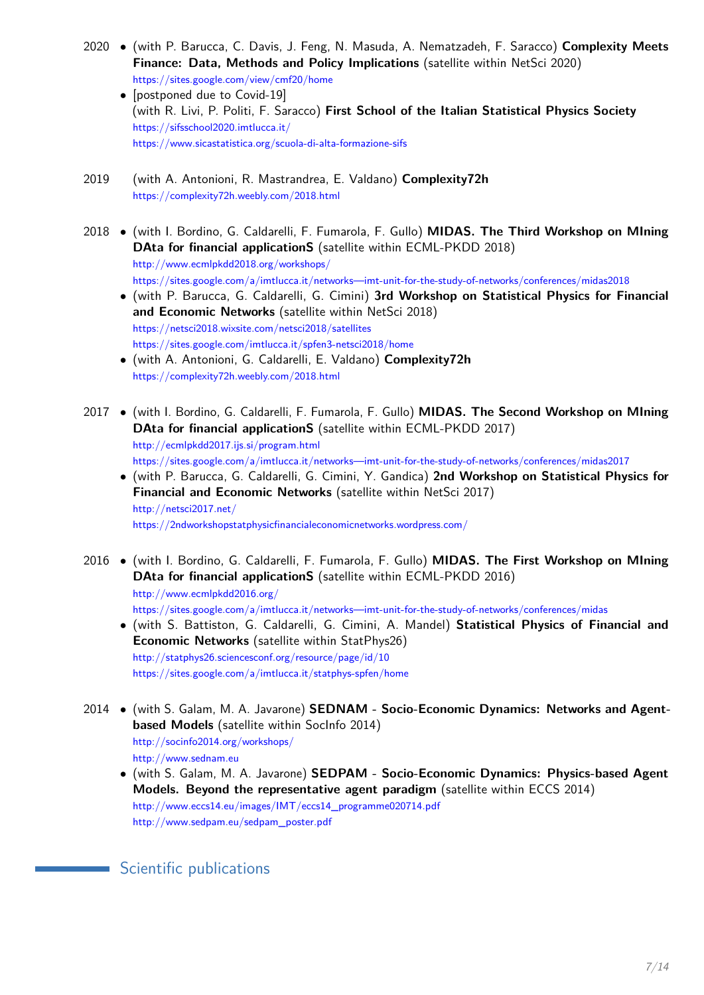- 2020 (with P. Barucca, C. Davis, J. Feng, N. Masuda, A. Nematzadeh, F. Saracco) **Complexity Meets Finance: Data, Methods and Policy Implications** (satellite within NetSci 2020) https://sites.google.com/view/cmf20/home
	- [postponed due to Covid-19] (with R. Livi, P. Politi, F. Saracco) **First School of the Italian Statistical Physics Society** https://sifsschool2020.imtlucca.it/ https://www.sicastatistica.org/scuola-di-alta-formazione-sifs
- 2019 (with A. Antonioni, R. Mastrandrea, E. Valdano) **Complexity72h** https://complexity72h.weebly.com/2018.html
- 2018 (with I. Bordino, G. Caldarelli, F. Fumarola, F. Gullo) **MIDAS. The Third Workshop on MIning DAta for financial applicationS** (satellite within ECML-PKDD 2018) http://www.ecmlpkdd2018.org/workshops/ https://sites.google.com/a/imtlucca.it/networks—imt-unit-for-the-study-of-networks/conferences/midas2018
	- (with P. Barucca, G. Caldarelli, G. Cimini) **3rd Workshop on Statistical Physics for Financial and Economic Networks** (satellite within NetSci 2018) https://netsci2018.wixsite.com/netsci2018/satellites https://sites.google.com/imtlucca.it/spfen3-netsci2018/home
	- (with A. Antonioni, G. Caldarelli, E. Valdano) **Complexity72h** https://complexity72h.weebly.com/2018.html
- 2017 (with I. Bordino, G. Caldarelli, F. Fumarola, F. Gullo) **MIDAS. The Second Workshop on MIning DAta for financial applicationS** (satellite within ECML-PKDD 2017) http://ecmlpkdd2017.ijs.si/program.html https://sites.google.com/a/imtlucca.it/networks—imt-unit-for-the-study-of-networks/conferences/midas2017
	- (with P. Barucca, G. Caldarelli, G. Cimini, Y. Gandica) **2nd Workshop on Statistical Physics for Financial and Economic Networks** (satellite within NetSci 2017) http://netsci2017.net/ https://2ndworkshopstatphysicfinancialeconomicnetworks.wordpress.com/
- 2016 (with I. Bordino, G. Caldarelli, F. Fumarola, F. Gullo) **MIDAS. The First Workshop on MIning DAta for financial applicationS** (satellite within ECML-PKDD 2016) http://www.ecmlpkdd2016.org/ https://sites.google.com/a/imtlucca.it/networks—imt-unit-for-the-study-of-networks/conferences/midas
	- (with S. Battiston, G. Caldarelli, G. Cimini, A. Mandel) **Statistical Physics of Financial and Economic Networks** (satellite within StatPhys26) http://statphys26.sciencesconf.org/resource/page/id/10 https://sites.google.com/a/imtlucca.it/statphys-spfen/home
- 2014 (with S. Galam, M. A. Javarone) **SEDNAM Socio-Economic Dynamics: Networks and Agentbased Models** (satellite within SocInfo 2014) http://socinfo2014.org/workshops/ http://www.sednam.eu
	- (with S. Galam, M. A. Javarone) **SEDPAM Socio-Economic Dynamics: Physics-based Agent Models. Beyond the representative agent paradigm** (satellite within ECCS 2014) http://www.eccs14.eu/images/IMT/eccs14\_programme020714.pdf http://www.sedpam.eu/sedpam\_poster.pdf

**Scientific publications**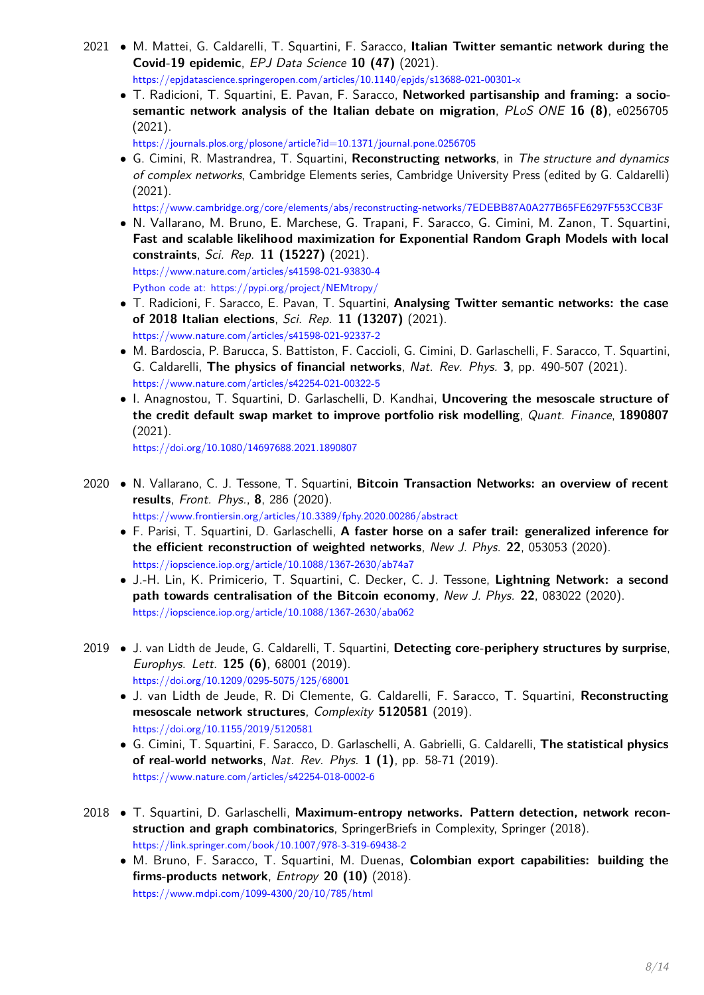- 2021 M. Mattei, G. Caldarelli, T. Squartini, F. Saracco, **Italian Twitter semantic network during the Covid-19 epidemic**, EPJ Data Science **10 (47)** (2021). https://epjdatascience.springeropen.com/articles/10.1140/epjds/s13688-021-00301-x
	- T. Radicioni, T. Squartini, E. Pavan, F. Saracco, **Networked partisanship and framing: a sociosemantic network analysis of the Italian debate on migration**, PLoS ONE **16 (8)**, e0256705 (2021).

https://journals.plos.org/plosone/article?id=10.1371/journal.pone.0256705

• G. Cimini, R. Mastrandrea, T. Squartini, **Reconstructing networks**, in The structure and dynamics of complex networks, Cambridge Elements series, Cambridge University Press (edited by G. Caldarelli) (2021).

https://www.cambridge.org/core/elements/abs/reconstructing-networks/7EDEBB87A0A277B65FE6297F553CCB3F

- N. Vallarano, M. Bruno, E. Marchese, G. Trapani, F. Saracco, G. Cimini, M. Zanon, T. Squartini, **Fast and scalable likelihood maximization for Exponential Random Graph Models with local constraints**, Sci. Rep. **11 (15227)** (2021). https://www.nature.com/articles/s41598-021-93830-4 Python code at: https://pypi.org/project/NEMtropy/
- T. Radicioni, F. Saracco, E. Pavan, T. Squartini, **Analysing Twitter semantic networks: the case of 2018 Italian elections**, Sci. Rep. **11 (13207)** (2021). https://www.nature.com/articles/s41598-021-92337-2
- M. Bardoscia, P. Barucca, S. Battiston, F. Caccioli, G. Cimini, D. Garlaschelli, F. Saracco, T. Squartini, G. Caldarelli, **The physics of financial networks**, Nat. Rev. Phys. **3**, pp. 490-507 (2021). https://www.nature.com/articles/s42254-021-00322-5
- I. Anagnostou, T. Squartini, D. Garlaschelli, D. Kandhai, **Uncovering the mesoscale structure of the credit default swap market to improve portfolio risk modelling**, Quant. Finance, **1890807** (2021).

https://doi.org/10.1080/14697688.2021.1890807

- 2020 N. Vallarano, C. J. Tessone, T. Squartini, **Bitcoin Transaction Networks: an overview of recent results**, Front. Phys., **8**, 286 (2020). https://www.frontiersin.org/articles/10.3389/fphy.2020.00286/abstract
	- F. Parisi, T. Squartini, D. Garlaschelli, **A faster horse on a safer trail: generalized inference for the efficient reconstruction of weighted networks**, New J. Phys. **22**, 053053 (2020). https://iopscience.iop.org/article/10.1088/1367-2630/ab74a7
	- J.-H. Lin, K. Primicerio, T. Squartini, C. Decker, C. J. Tessone, **Lightning Network: a second path towards centralisation of the Bitcoin economy**, New J. Phys. **22**, 083022 (2020). https://iopscience.iop.org/article/10.1088/1367-2630/aba062
- 2019 J. van Lidth de Jeude, G. Caldarelli, T. Squartini, **Detecting core-periphery structures by surprise**, Europhys. Lett. **125 (6)**, 68001 (2019). https://doi.org/10.1209/0295-5075/125/68001
	- J. van Lidth de Jeude, R. Di Clemente, G. Caldarelli, F. Saracco, T. Squartini, **Reconstructing mesoscale network structures**, Complexity **5120581** (2019). https://doi.org/10.1155/2019/5120581
	- G. Cimini, T. Squartini, F. Saracco, D. Garlaschelli, A. Gabrielli, G. Caldarelli, **The statistical physics of real-world networks**, Nat. Rev. Phys. **1 (1)**, pp. 58-71 (2019). https://www.nature.com/articles/s42254-018-0002-6
- 2018 T. Squartini, D. Garlaschelli, **Maximum-entropy networks. Pattern detection, network reconstruction and graph combinatorics**, SpringerBriefs in Complexity, Springer (2018). https://link.springer.com/book/10.1007/978-3-319-69438-2
	- M. Bruno, F. Saracco, T. Squartini, M. Duenas, **Colombian export capabilities: building the firms-products network**, Entropy **20 (10)** (2018). https://www.mdpi.com/1099-4300/20/10/785/html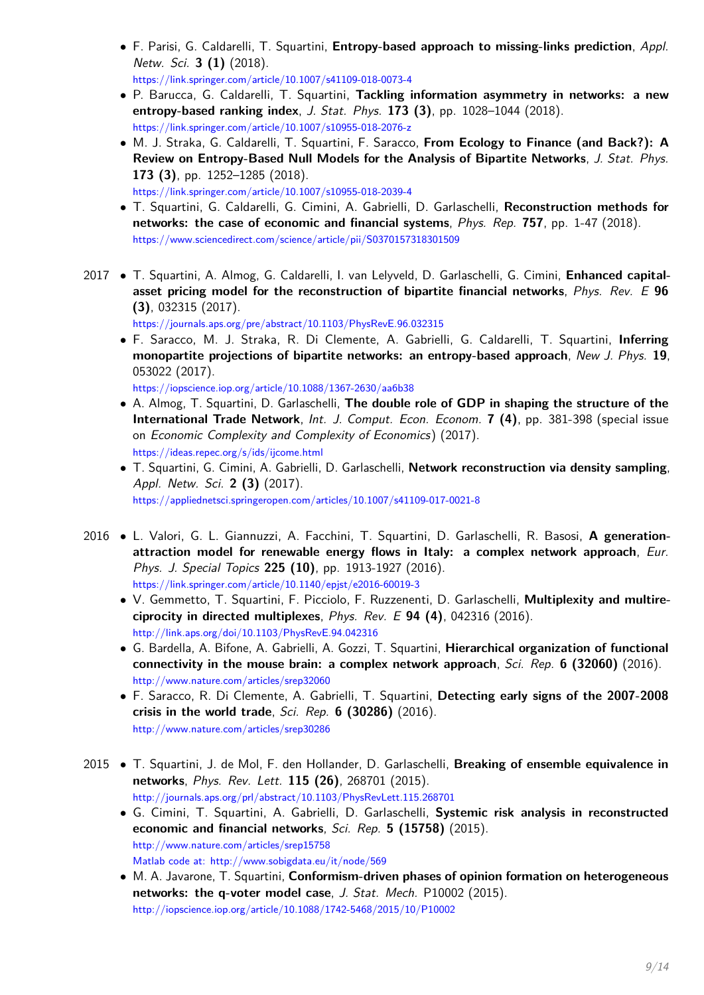• F. Parisi, G. Caldarelli, T. Squartini, **Entropy-based approach to missing-links prediction**, Appl. Netw. Sci. **3 (1)** (2018).

https://link.springer.com/article/10.1007/s41109-018-0073-4

- P. Barucca, G. Caldarelli, T. Squartini, **Tackling information asymmetry in networks: a new entropy-based ranking index**, J. Stat. Phys. **173 (3)**, pp. 1028–1044 (2018). https://link.springer.com/article/10.1007/s10955-018-2076-z
- M. J. Straka, G. Caldarelli, T. Squartini, F. Saracco, **From Ecology to Finance (and Back?): A Review on Entropy-Based Null Models for the Analysis of Bipartite Networks**, J. Stat. Phys. **173 (3)**, pp. 1252–1285 (2018). https://link.springer.com/article/10.1007/s10955-018-2039-4
- T. Squartini, G. Caldarelli, G. Cimini, A. Gabrielli, D. Garlaschelli, **Reconstruction methods for networks: the case of economic and financial systems**, Phys. Rep. **757**, pp. 1-47 (2018). https://www.sciencedirect.com/science/article/pii/S0370157318301509
- 2017 T. Squartini, A. Almog, G. Caldarelli, I. van Lelyveld, D. Garlaschelli, G. Cimini, **Enhanced capitalasset pricing model for the reconstruction of bipartite financial networks**, Phys. Rev. E **96 (3)**, 032315 (2017).

https://journals.aps.org/pre/abstract/10.1103/PhysRevE.96.032315

• F. Saracco, M. J. Straka, R. Di Clemente, A. Gabrielli, G. Caldarelli, T. Squartini, **Inferring monopartite projections of bipartite networks: an entropy-based approach**, New J. Phys. **19**, 053022 (2017).

https://iopscience.iop.org/article/10.1088/1367-2630/aa6b38

- A. Almog, T. Squartini, D. Garlaschelli, **The double role of GDP in shaping the structure of the International Trade Network**, Int. J. Comput. Econ. Econom. **7 (4)**, pp. 381-398 (special issue on Economic Complexity and Complexity of Economics) (2017). https://ideas.repec.org/s/ids/ijcome.html
- T. Squartini, G. Cimini, A. Gabrielli, D. Garlaschelli, **Network reconstruction via density sampling**, Appl. Netw. Sci. **2 (3)** (2017). https://appliednetsci.springeropen.com/articles/10.1007/s41109-017-0021-8
- 2016 L. Valori, G. L. Giannuzzi, A. Facchini, T. Squartini, D. Garlaschelli, R. Basosi, **A generationattraction model for renewable energy flows in Italy: a complex network approach**, Eur. Phys. J. Special Topics **225 (10)**, pp. 1913-1927 (2016). https://link.springer.com/article/10.1140/epjst/e2016-60019-3
	- V. Gemmetto, T. Squartini, F. Picciolo, F. Ruzzenenti, D. Garlaschelli, **Multiplexity and multireciprocity in directed multiplexes**, Phys. Rev. E **94 (4)**, 042316 (2016). http://link.aps.org/doi/10.1103/PhysRevE.94.042316
	- G. Bardella, A. Bifone, A. Gabrielli, A. Gozzi, T. Squartini, **Hierarchical organization of functional connectivity in the mouse brain: a complex network approach**, Sci. Rep. **6 (32060)** (2016). http://www.nature.com/articles/srep32060
	- F. Saracco, R. Di Clemente, A. Gabrielli, T. Squartini, **Detecting early signs of the 2007-2008 crisis in the world trade**, Sci. Rep. **6 (30286)** (2016). http://www.nature.com/articles/srep30286
- 2015 T. Squartini, J. de Mol, F. den Hollander, D. Garlaschelli, **Breaking of ensemble equivalence in networks**, Phys. Rev. Lett. **115 (26)**, 268701 (2015). http://journals.aps.org/prl/abstract/10.1103/PhysRevLett.115.268701
	- G. Cimini, T. Squartini, A. Gabrielli, D. Garlaschelli, **Systemic risk analysis in reconstructed economic and financial networks**, Sci. Rep. **5 (15758)** (2015). http://www.nature.com/articles/srep15758

Matlab code at: http://www.sobigdata.eu/it/node/569

• M. A. Javarone, T. Squartini, **Conformism-driven phases of opinion formation on heterogeneous networks: the q-voter model case**, J. Stat. Mech. P10002 (2015). http://iopscience.iop.org/article/10.1088/1742-5468/2015/10/P10002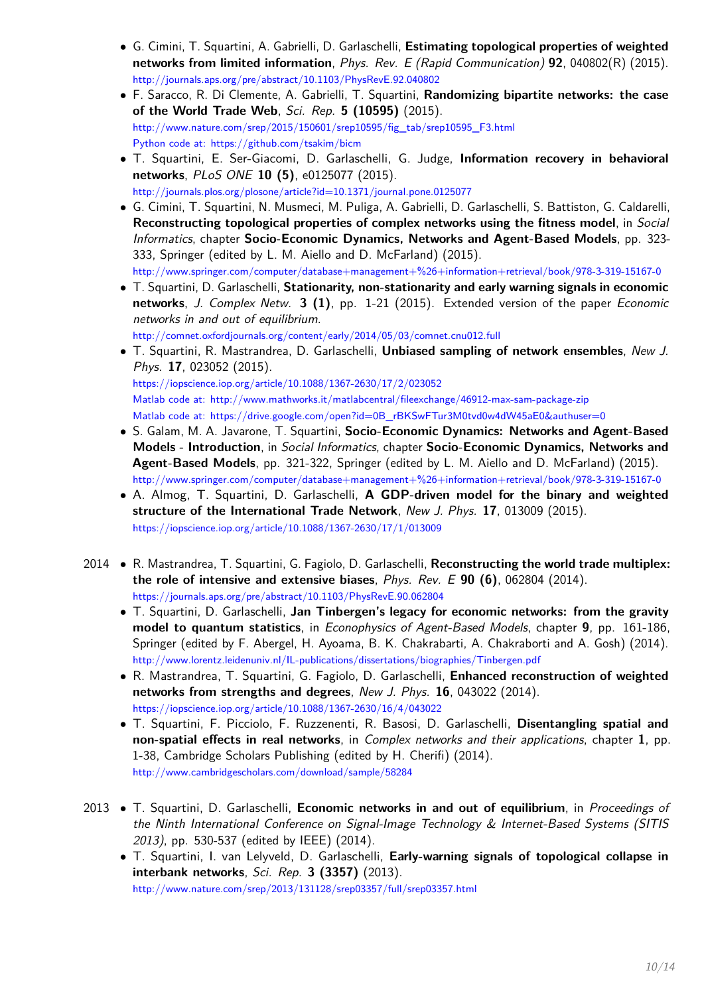- G. Cimini, T. Squartini, A. Gabrielli, D. Garlaschelli, **Estimating topological properties of weighted networks from limited information**, Phys. Rev. E (Rapid Communication) **92**, 040802(R) (2015). http://journals.aps.org/pre/abstract/10.1103/PhysRevE.92.040802
- F. Saracco, R. Di Clemente, A. Gabrielli, T. Squartini, **Randomizing bipartite networks: the case of the World Trade Web**, Sci. Rep. **5 (10595)** (2015). http://www.nature.com/srep/2015/150601/srep10595/fig\_tab/srep10595\_F3.html Python code at: https://github.com/tsakim/bicm
- T. Squartini, E. Ser-Giacomi, D. Garlaschelli, G. Judge, **Information recovery in behavioral networks**, PLoS ONE **10 (5)**, e0125077 (2015). http://journals.plos.org/plosone/article?id=10.1371/journal.pone.0125077
- G. Cimini, T. Squartini, N. Musmeci, M. Puliga, A. Gabrielli, D. Garlaschelli, S. Battiston, G. Caldarelli, **Reconstructing topological properties of complex networks using the fitness model**, in Social Informatics, chapter **Socio-Economic Dynamics, Networks and Agent-Based Models**, pp. 323- 333, Springer (edited by L. M. Aiello and D. McFarland) (2015). http://www.springer.com/computer/database+management+%26+information+retrieval/book/978-3-319-15167-0
- T. Squartini, D. Garlaschelli, **Stationarity, non-stationarity and early warning signals in economic networks**, J. Complex Netw. **3 (1)**, pp. 1-21 (2015). Extended version of the paper Economic networks in and out of equilibrium. http://comnet.oxfordjournals.org/content/early/2014/05/03/comnet.cnu012.full
- T. Squartini, R. Mastrandrea, D. Garlaschelli, **Unbiased sampling of network ensembles**, New J. Phys. **17**, 023052 (2015). https://iopscience.iop.org/article/10.1088/1367-2630/17/2/023052 Matlab code at: http://www.mathworks.it/matlabcentral/fileexchange/46912-max-sam-package-zip Matlab code at: https://drive.google.com/open?id=0B\_rBKSwFTur3M0tvd0w4dW45aE0&authuser=0
- S. Galam, M. A. Javarone, T. Squartini, **Socio-Economic Dynamics: Networks and Agent-Based Models - Introduction**, in Social Informatics, chapter **Socio-Economic Dynamics, Networks and Agent-Based Models**, pp. 321-322, Springer (edited by L. M. Aiello and D. McFarland) (2015). http://www.springer.com/computer/database+management+%26+information+retrieval/book/978-3-319-15167-0
- A. Almog, T. Squartini, D. Garlaschelli, **A GDP-driven model for the binary and weighted structure of the International Trade Network**, New J. Phys. **17**, 013009 (2015). https://iopscience.iop.org/article/10.1088/1367-2630/17/1/013009
- 2014 R. Mastrandrea, T. Squartini, G. Fagiolo, D. Garlaschelli, **Reconstructing the world trade multiplex: the role of intensive and extensive biases**, Phys. Rev. E **90 (6)**, 062804 (2014). https://journals.aps.org/pre/abstract/10.1103/PhysRevE.90.062804
	- T. Squartini, D. Garlaschelli, **Jan Tinbergen's legacy for economic networks: from the gravity model to quantum statistics**, in Econophysics of Agent-Based Models, chapter **9**, pp. 161-186, Springer (edited by F. Abergel, H. Ayoama, B. K. Chakrabarti, A. Chakraborti and A. Gosh) (2014). http://www.lorentz.leidenuniv.nl/IL-publications/dissertations/biographies/Tinbergen.pdf
	- R. Mastrandrea, T. Squartini, G. Fagiolo, D. Garlaschelli, **Enhanced reconstruction of weighted networks from strengths and degrees**, New J. Phys. **16**, 043022 (2014). https://iopscience.iop.org/article/10.1088/1367-2630/16/4/043022
	- T. Squartini, F. Picciolo, F. Ruzzenenti, R. Basosi, D. Garlaschelli, **Disentangling spatial and non-spatial effects in real networks**, in Complex networks and their applications, chapter **1**, pp. 1-38, Cambridge Scholars Publishing (edited by H. Cherifi) (2014). http://www.cambridgescholars.com/download/sample/58284
- 2013 T. Squartini, D. Garlaschelli, **Economic networks in and out of equilibrium**, in Proceedings of the Ninth International Conference on Signal-Image Technology & Internet-Based Systems (SITIS 2013), pp. 530-537 (edited by IEEE) (2014).
	- T. Squartini, I. van Lelyveld, D. Garlaschelli, **Early-warning signals of topological collapse in interbank networks**, Sci. Rep. **3 (3357)** (2013). http://www.nature.com/srep/2013/131128/srep03357/full/srep03357.html

10[/14](#page-12-0)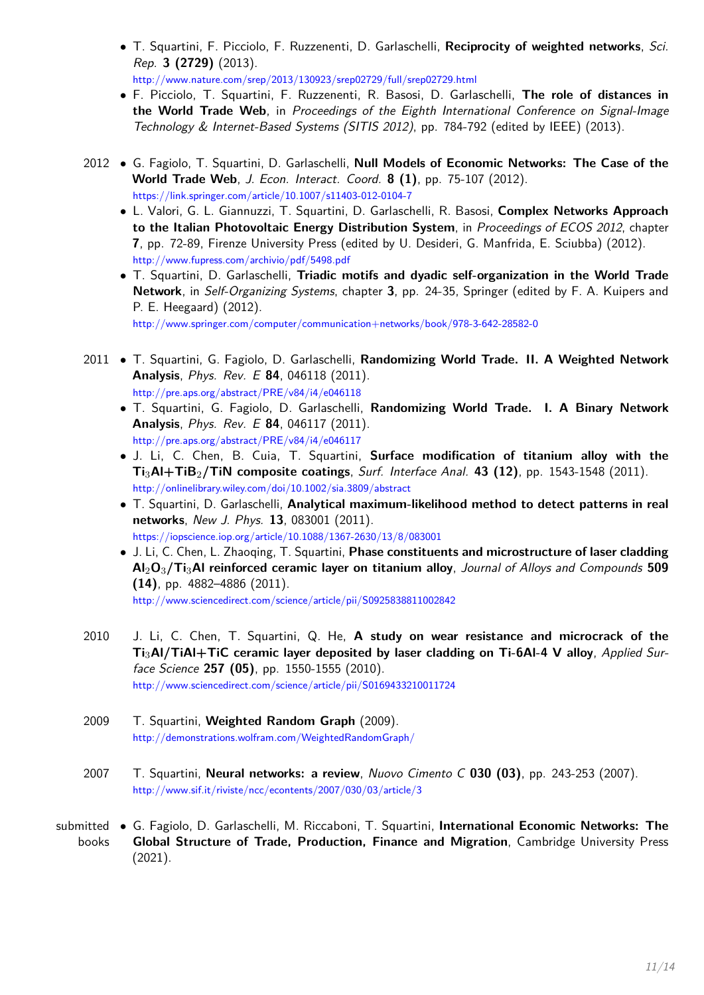- T. Squartini, F. Picciolo, F. Ruzzenenti, D. Garlaschelli, **Reciprocity of weighted networks**, Sci. Rep. **3 (2729)** (2013). http://www.nature.com/srep/2013/130923/srep02729/full/srep02729.html
- F. Picciolo, T. Squartini, F. Ruzzenenti, R. Basosi, D. Garlaschelli, **The role of distances in the World Trade Web**, in Proceedings of the Eighth International Conference on Signal-Image Technology & Internet-Based Systems (SITIS 2012), pp. 784-792 (edited by IEEE) (2013).
- 2012 G. Fagiolo, T. Squartini, D. Garlaschelli, **Null Models of Economic Networks: The Case of the World Trade Web**, J. Econ. Interact. Coord. **8 (1)**, pp. 75-107 (2012). https://link.springer.com/article/10.1007/s11403-012-0104-7
	- L. Valori, G. L. Giannuzzi, T. Squartini, D. Garlaschelli, R. Basosi, **Complex Networks Approach to the Italian Photovoltaic Energy Distribution System**, in Proceedings of ECOS 2012, chapter **7**, pp. 72-89, Firenze University Press (edited by U. Desideri, G. Manfrida, E. Sciubba) (2012). http://www.fupress.com/archivio/pdf/5498.pdf
	- T. Squartini, D. Garlaschelli, **Triadic motifs and dyadic self-organization in the World Trade Network**, in Self-Organizing Systems, chapter **3**, pp. 24-35, Springer (edited by F. A. Kuipers and P. E. Heegaard) (2012). http://www.springer.com/computer/communication+networks/book/978-3-642-28582-0

2011 • T. Squartini, G. Fagiolo, D. Garlaschelli, **Randomizing World Trade. II. A Weighted Network Analysis**, Phys. Rev. E **84**, 046118 (2011).

http://pre.aps.org/abstract/PRE/v84/i4/e046118

- T. Squartini, G. Fagiolo, D. Garlaschelli, **Randomizing World Trade. I. A Binary Network Analysis**, Phys. Rev. E **84**, 046117 (2011). http://pre.aps.org/abstract/PRE/v84/i4/e046117
- J. Li, C. Chen, B. Cuia, T. Squartini, **Surface modification of titanium alloy with the Ti**3**Al+TiB**2**/TiN composite coatings**, Surf. Interface Anal. **43 (12)**, pp. 1543-1548 (2011). http://onlinelibrary.wiley.com/doi/10.1002/sia.3809/abstract
- T. Squartini, D. Garlaschelli, **Analytical maximum-likelihood method to detect patterns in real networks**, New J. Phys. **13**, 083001 (2011). https://iopscience.iop.org/article/10.1088/1367-2630/13/8/083001
- J. Li, C. Chen, L. Zhaoqing, T. Squartini, **Phase constituents and microstructure of laser cladding Al**2**O**3**/Ti**3**Al reinforced ceramic layer on titanium alloy**, Journal of Alloys and Compounds **509 (14)**, pp. 4882–4886 (2011).

http://www.sciencedirect.com/science/article/pii/S0925838811002842

2010 J. Li, C. Chen, T. Squartini, Q. He, **A study on wear resistance and microcrack of the Ti**3**Al/TiAl+TiC ceramic layer deposited by laser cladding on Ti-6Al-4 V alloy**, Applied Surface Science **257 (05)**, pp. 1550-1555 (2010).

http://www.sciencedirect.com/science/article/pii/S0169433210011724

- 2009 T. Squartini, **Weighted Random Graph** (2009). http://demonstrations.wolfram.com/WeightedRandomGraph/
- 2007 T. Squartini, **Neural networks: a review**, Nuovo Cimento C **030 (03)**, pp. 243-253 (2007). http://www.sif.it/riviste/ncc/econtents/2007/030/03/article/3
- submitted G. Fagiolo, D. Garlaschelli, M. Riccaboni, T. Squartini, **International Economic Networks: The** books **Global Structure of Trade, Production, Finance and Migration**, Cambridge University Press (2021).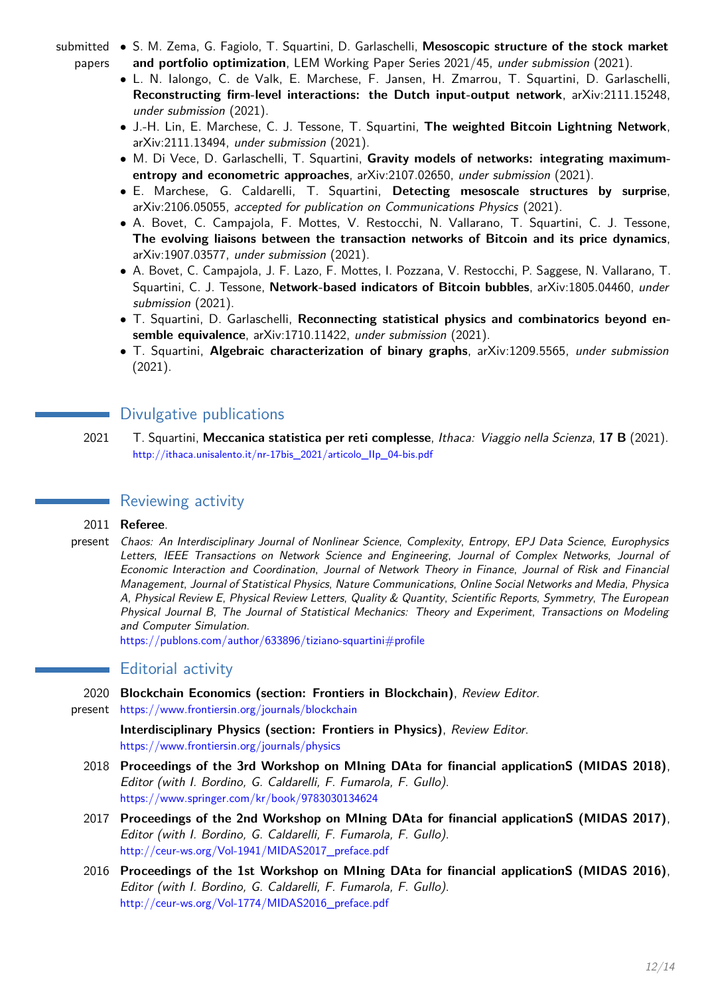- submitted S. M. Zema, G. Fagiolo, T. Squartini, D. Garlaschelli, **Mesoscopic structure of the stock market** papers **and portfolio optimization**, LEM Working Paper Series 2021/45, under submission (2021).
	- L. N. Ialongo, C. de Valk, E. Marchese, F. Jansen, H. Zmarrou, T. Squartini, D. Garlaschelli, **Reconstructing firm-level interactions: the Dutch input-output network**, arXiv:2111.15248, under submission (2021).
	- J.-H. Lin, E. Marchese, C. J. Tessone, T. Squartini, **The weighted Bitcoin Lightning Network**, arXiv:2111.13494, under submission (2021).
	- M. Di Vece, D. Garlaschelli, T. Squartini, **Gravity models of networks: integrating maximumentropy and econometric approaches**, arXiv:2107.02650, under submission (2021).
	- E. Marchese, G. Caldarelli, T. Squartini, **Detecting mesoscale structures by surprise**, arXiv:2106.05055, accepted for publication on Communications Physics (2021).
	- A. Bovet, C. Campajola, F. Mottes, V. Restocchi, N. Vallarano, T. Squartini, C. J. Tessone, **The evolving liaisons between the transaction networks of Bitcoin and its price dynamics**, arXiv:1907.03577, under submission (2021).
	- A. Bovet, C. Campajola, J. F. Lazo, F. Mottes, I. Pozzana, V. Restocchi, P. Saggese, N. Vallarano, T. Squartini, C. J. Tessone, **Network-based indicators of Bitcoin bubbles**, arXiv:1805.04460, under submission (2021).
	- T. Squartini, D. Garlaschelli, **Reconnecting statistical physics and combinatorics beyond ensemble equivalence**, arXiv:1710.11422, under submission (2021).
	- T. Squartini, **Algebraic characterization of binary graphs**, arXiv:1209.5565, under submission (2021).

# Divulgative publications

2021 T. Squartini, **Meccanica statistica per reti complesse**, Ithaca: Viaggio nella Scienza, **17 B** (2021). http://ithaca.unisalento.it/nr-17bis\_2021/articolo\_IIp\_04-bis.pdf

# Reviewing activity

## 2011 **Referee**.

present Chaos: An Interdisciplinary Journal of Nonlinear Science, Complexity, Entropy, EPJ Data Science, Europhysics Letters, IEEE Transactions on Network Science and Engineering, Journal of Complex Networks, Journal of Economic Interaction and Coordination, Journal of Network Theory in Finance, Journal of Risk and Financial Management, Journal of Statistical Physics, Nature Communications, Online Social Networks and Media, Physica A, Physical Review E, Physical Review Letters, Quality & Quantity, Scientific Reports, Symmetry, The European Physical Journal B, The Journal of Statistical Mechanics: Theory and Experiment, Transactions on Modeling and Computer Simulation.

https://publons.com/author/633896/tiziano-squartini#profile

# Editorial activity

- 2020 **Blockchain Economics (section: Frontiers in Blockchain)**, Review Editor.
- present https://www.frontiersin.org/journals/blockchain

**Interdisciplinary Physics (section: Frontiers in Physics)**, Review Editor. https://www.frontiersin.org/journals/physics

- 2018 **Proceedings of the 3rd Workshop on MIning DAta for financial applicationS (MIDAS 2018)**, Editor (with I. Bordino, G. Caldarelli, F. Fumarola, F. Gullo). https://www.springer.com/kr/book/9783030134624
- 2017 **Proceedings of the 2nd Workshop on MIning DAta for financial applicationS (MIDAS 2017)**, Editor (with I. Bordino, G. Caldarelli, F. Fumarola, F. Gullo). http://ceur-ws.org/Vol-1941/MIDAS2017\_preface.pdf
- 2016 **Proceedings of the 1st Workshop on MIning DAta for financial applicationS (MIDAS 2016)**, Editor (with I. Bordino, G. Caldarelli, F. Fumarola, F. Gullo). http://ceur-ws.org/Vol-1774/MIDAS2016\_preface.pdf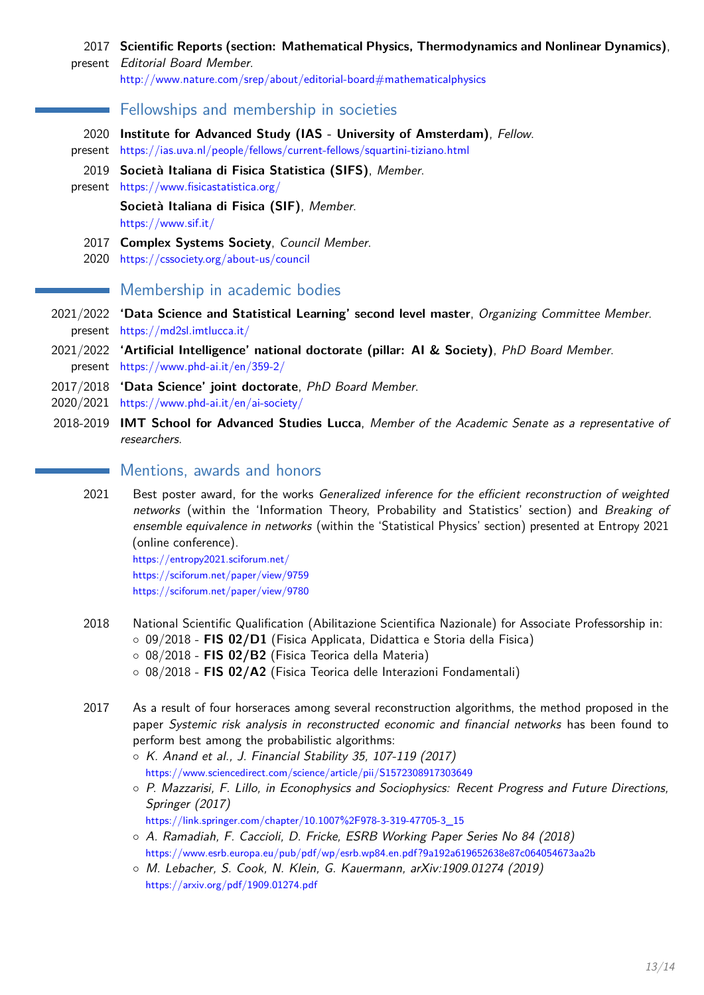#### 2017 **Scientific Reports (section: Mathematical Physics, Thermodynamics and Nonlinear Dynamics)**,

present Editorial Board Member.

http://www.nature.com/srep/about/editorial-board#mathematicalphysics

## Fellowships and membership in societies

- 2020 **Institute for Advanced Study (IAS University of Amsterdam)**, Fellow.
- present https://ias.uva.nl/people/fellows/current-fellows/squartini-tiziano.html
- 2019 **Società Italiana di Fisica Statistica (SIFS)**, Member.
- present https://www.fisicastatistica.org/

**Società Italiana di Fisica (SIF)**, Member.

https://www.sif.it/

- 2017 **Complex Systems Society**, Council Member.
- 2020 https://cssociety.org/about-us/council

# **Membership in academic bodies**

- 2021/2022 **'Data Science and Statistical Learning' second level master**, Organizing Committee Member. present https://md2sl.imtlucca.it/
- 2021/2022 **'Artificial Intelligence' national doctorate (pillar: AI & Society)**, PhD Board Member. present https://www.phd-ai.it/en/359-2/
- 2017/2018 **'Data Science' joint doctorate**, PhD Board Member.
- 2020/2021 https://www.phd-ai.it/en/ai-society/
- <span id="page-12-0"></span>2018-2019 **IMT School for Advanced Studies Lucca**, Member of the Academic Senate as a representative of researchers.

# Mentions, awards and honors

2021 Best poster award, for the works Generalized inference for the efficient reconstruction of weighted networks (within the 'Information Theory, Probability and Statistics' section) and Breaking of ensemble equivalence in networks (within the 'Statistical Physics' section) presented at Entropy 2021 (online conference).

https://entropy2021.sciforum.net/ https://sciforum.net/paper/view/9759 https://sciforum.net/paper/view/9780

- 2018 National Scientific Qualification (Abilitazione Scientifica Nazionale) for Associate Professorship in: ◦ 09/2018 - **FIS 02/D1** (Fisica Applicata, Didattica e Storia della Fisica) ◦ 08/2018 - **FIS 02/B2** (Fisica Teorica della Materia)
	- 08/2018 **FIS 02/A2** (Fisica Teorica delle Interazioni Fondamentali)
- 2017 As a result of four horseraces among several reconstruction algorithms, the method proposed in the paper Systemic risk analysis in reconstructed economic and financial networks has been found to perform best among the probabilistic algorithms:
	- K. Anand et al., J. Financial Stability 35, 107-119 (2017) https://www.sciencedirect.com/science/article/pii/S1572308917303649
	- P. Mazzarisi, F. Lillo, in Econophysics and Sociophysics: Recent Progress and Future Directions, Springer (2017)
	- https://link.springer.com/chapter/10.1007%2F978-3-319-47705-3\_15
	- A. Ramadiah, F. Caccioli, D. Fricke, ESRB Working Paper Series No 84 (2018) https://www.esrb.europa.eu/pub/pdf/wp/esrb.wp84.en.pdf?9a192a619652638e87c064054673aa2b
	- M. Lebacher, S. Cook, N. Klein, G. Kauermann, arXiv:1909.01274 (2019) https://arxiv.org/pdf/1909.01274.pdf